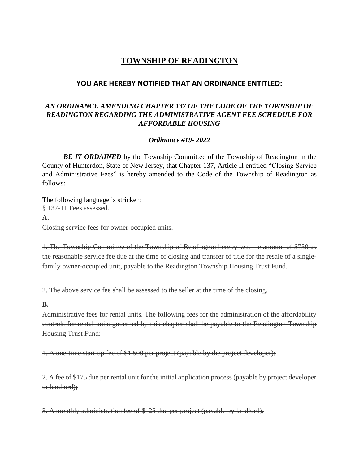# **TOWNSHIP OF READINGTON**

## **YOU ARE HEREBY NOTIFIED THAT AN ORDINANCE ENTITLED:**

### *AN ORDINANCE AMENDING CHAPTER 137 OF THE CODE OF THE TOWNSHIP OF READINGTON REGARDING THE ADMINISTRATIVE AGENT FEE SCHEDULE FOR AFFORDABLE HOUSING*

#### *Ordinance #19- 2022*

*BE IT ORDAINED* by the Township Committee of the Township of Readington in the County of Hunterdon, State of New Jersey, that Chapter 137, Article II entitled "Closing Service and Administrative Fees" is hereby amended to the Code of the Township of Readington as follows:

The following language is stricken: § 137-11 Fees assessed. **A.** Closing service fees for owner-occupied units.

1. The Township Committee of the Township of Readington hereby sets the amount of \$750 as the reasonable service fee due at the time of closing and transfer of title for the resale of a singlefamily owner-occupied unit, payable to the Readington Township Housing Trust Fund.

2. The above service fee shall be assessed to the seller at the time of the closing.

#### **B.**

Administrative fees for rental units. The following fees for the administration of the affordability controls for rental units governed by this chapter shall be payable to the Readington Township Housing Trust Fund:

1. A one-time start-up fee of \$1,500 per project (payable by the project developer);

2. A fee of \$175 due per rental unit for the initial application process (payable by project developer or landlord);

3. A monthly administration fee of \$125 due per project (payable by landlord);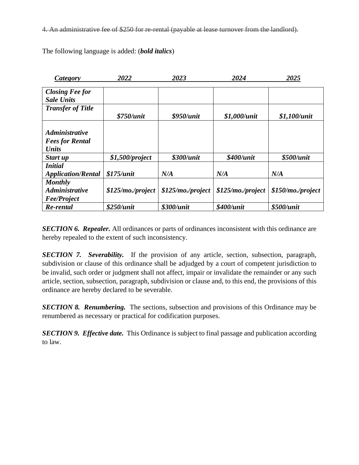4. An administrative fee of \$250 for re-rental (payable at lease turnover from the landlord).

| Category                     | 2022                 | 2023               | 2024                 | 2025               |
|------------------------------|----------------------|--------------------|----------------------|--------------------|
|                              |                      |                    |                      |                    |
| <b>Closing Fee for</b>       |                      |                    |                      |                    |
| <b>Sale Units</b>            |                      |                    |                      |                    |
| <b>Transfer of Title</b>     |                      |                    |                      |                    |
|                              | \$750/unit           | \$950/unit         | $$1,000$ /unit       | \$1,100/unit       |
|                              |                      |                    |                      |                    |
| <b>Administrative</b>        |                      |                    |                      |                    |
| <b>Fees for Rental</b>       |                      |                    |                      |                    |
| <b>Units</b>                 |                      |                    |                      |                    |
| Start up                     | $$1,500$ /project    | \$300/unit         | \$400/unit           | \$500/ <i>unit</i> |
| <b>Initial</b>               |                      |                    |                      |                    |
| <b>Application/Rental</b>    | \$175/unit           | N/A                | N/A                  | N/A                |
| <b>Monthly</b>               |                      |                    |                      |                    |
| <i><b>Administrative</b></i> | $$125/mol$ , project | \$125/mo./project  | $$125/mol$ , project | \$150/mo./project  |
| <b>Fee/Project</b>           |                      |                    |                      |                    |
| Re-rental                    | \$250/unit           | \$300/ <i>unit</i> | \$400/unit           | \$500/unit         |

The following language is added: (*bold italics*)

*SECTION 6. Repealer.* All ordinances or parts of ordinances inconsistent with this ordinance are hereby repealed to the extent of such inconsistency.

*SECTION 7. Severability.* If the provision of any article, section, subsection, paragraph, subdivision or clause of this ordinance shall be adjudged by a court of competent jurisdiction to be invalid, such order or judgment shall not affect, impair or invalidate the remainder or any such article, section, subsection, paragraph, subdivision or clause and, to this end, the provisions of this ordinance are hereby declared to be severable.

*SECTION 8. Renumbering.* The sections, subsection and provisions of this Ordinance may be renumbered as necessary or practical for codification purposes.

*SECTION 9. Effective date.* This Ordinance is subject to final passage and publication according to law.